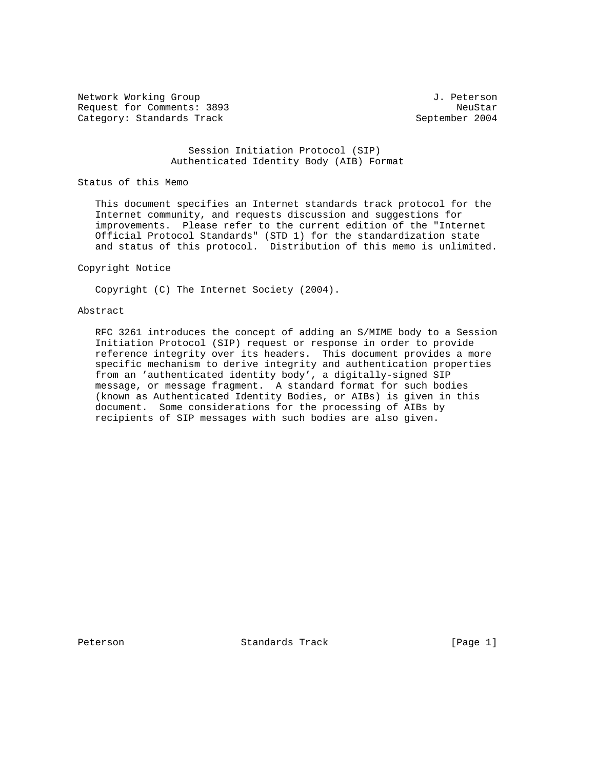Network Working Group 3. 2012 1. Peterson Request for Comments: 3893 NeuStar Category: Standards Track September 2004

## Session Initiation Protocol (SIP) Authenticated Identity Body (AIB) Format

#### Status of this Memo

 This document specifies an Internet standards track protocol for the Internet community, and requests discussion and suggestions for improvements. Please refer to the current edition of the "Internet Official Protocol Standards" (STD 1) for the standardization state and status of this protocol. Distribution of this memo is unlimited.

## Copyright Notice

Copyright (C) The Internet Society (2004).

#### Abstract

 RFC 3261 introduces the concept of adding an S/MIME body to a Session Initiation Protocol (SIP) request or response in order to provide reference integrity over its headers. This document provides a more specific mechanism to derive integrity and authentication properties from an 'authenticated identity body', a digitally-signed SIP message, or message fragment. A standard format for such bodies (known as Authenticated Identity Bodies, or AIBs) is given in this document. Some considerations for the processing of AIBs by recipients of SIP messages with such bodies are also given.

Peterson **Standards Track** [Page 1]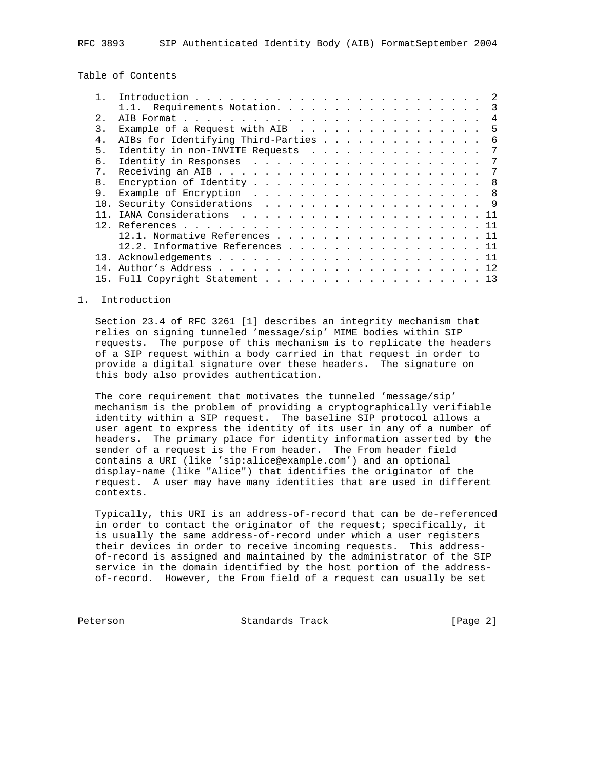Table of Contents

|                | 1.1. Requirements Notation.        | $\overline{\mathbf{3}}$ |
|----------------|------------------------------------|-------------------------|
| 2.             |                                    | 4                       |
| 3.             | Example of a Request with AIB      | -5                      |
| 4.             | AIBs for Identifying Third-Parties | 6                       |
| 5.             | Identity in non-INVITE Requests    | 7                       |
| 6.             |                                    |                         |
| 7 <sub>1</sub> |                                    |                         |
| 8.             |                                    |                         |
| 9.             |                                    |                         |
|                |                                    |                         |
|                |                                    |                         |
|                |                                    |                         |
|                | 12.1. Normative References 11      |                         |
|                | 12.2. Informative References 11    |                         |
|                |                                    |                         |
|                |                                    |                         |
|                |                                    |                         |

## 1. Introduction

 Section 23.4 of RFC 3261 [1] describes an integrity mechanism that relies on signing tunneled 'message/sip' MIME bodies within SIP requests. The purpose of this mechanism is to replicate the headers of a SIP request within a body carried in that request in order to provide a digital signature over these headers. The signature on this body also provides authentication.

 The core requirement that motivates the tunneled 'message/sip' mechanism is the problem of providing a cryptographically verifiable identity within a SIP request. The baseline SIP protocol allows a user agent to express the identity of its user in any of a number of headers. The primary place for identity information asserted by the sender of a request is the From header. The From header field contains a URI (like 'sip:alice@example.com') and an optional display-name (like "Alice") that identifies the originator of the request. A user may have many identities that are used in different contexts.

 Typically, this URI is an address-of-record that can be de-referenced in order to contact the originator of the request; specifically, it is usually the same address-of-record under which a user registers their devices in order to receive incoming requests. This address of-record is assigned and maintained by the administrator of the SIP service in the domain identified by the host portion of the address of-record. However, the From field of a request can usually be set

Peterson **Standards Track** [Page 2]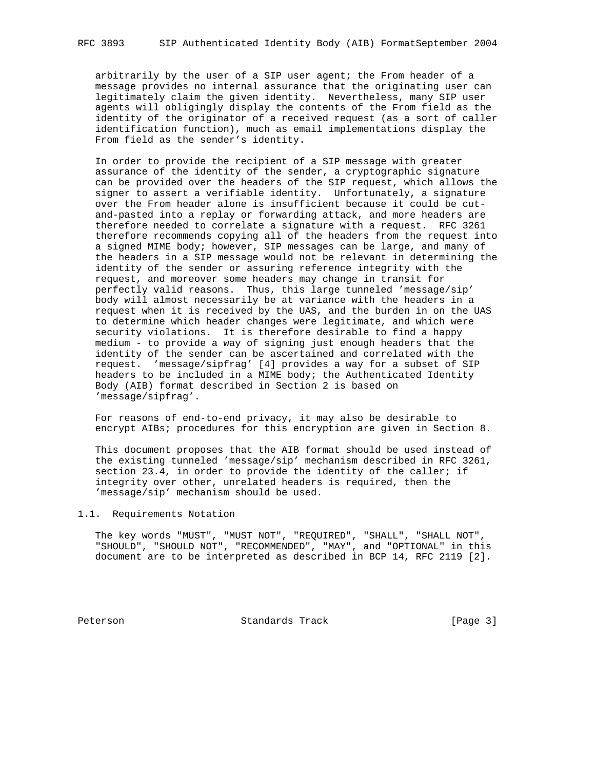arbitrarily by the user of a SIP user agent; the From header of a message provides no internal assurance that the originating user can legitimately claim the given identity. Nevertheless, many SIP user agents will obligingly display the contents of the From field as the identity of the originator of a received request (as a sort of caller identification function), much as email implementations display the From field as the sender's identity.

 In order to provide the recipient of a SIP message with greater assurance of the identity of the sender, a cryptographic signature can be provided over the headers of the SIP request, which allows the signer to assert a verifiable identity. Unfortunately, a signature over the From header alone is insufficient because it could be cut and-pasted into a replay or forwarding attack, and more headers are therefore needed to correlate a signature with a request. RFC 3261 therefore recommends copying all of the headers from the request into a signed MIME body; however, SIP messages can be large, and many of the headers in a SIP message would not be relevant in determining the identity of the sender or assuring reference integrity with the request, and moreover some headers may change in transit for perfectly valid reasons. Thus, this large tunneled 'message/sip' body will almost necessarily be at variance with the headers in a request when it is received by the UAS, and the burden in on the UAS to determine which header changes were legitimate, and which were security violations. It is therefore desirable to find a happy medium - to provide a way of signing just enough headers that the identity of the sender can be ascertained and correlated with the request. 'message/sipfrag' [4] provides a way for a subset of SIP headers to be included in a MIME body; the Authenticated Identity Body (AIB) format described in Section 2 is based on 'message/sipfrag'.

 For reasons of end-to-end privacy, it may also be desirable to encrypt AIBs; procedures for this encryption are given in Section 8.

 This document proposes that the AIB format should be used instead of the existing tunneled 'message/sip' mechanism described in RFC 3261, section 23.4, in order to provide the identity of the caller; if integrity over other, unrelated headers is required, then the 'message/sip' mechanism should be used.

## 1.1. Requirements Notation

 The key words "MUST", "MUST NOT", "REQUIRED", "SHALL", "SHALL NOT", "SHOULD", "SHOULD NOT", "RECOMMENDED", "MAY", and "OPTIONAL" in this document are to be interpreted as described in BCP 14, RFC 2119 [2].

Peterson **Standards Track** [Page 3]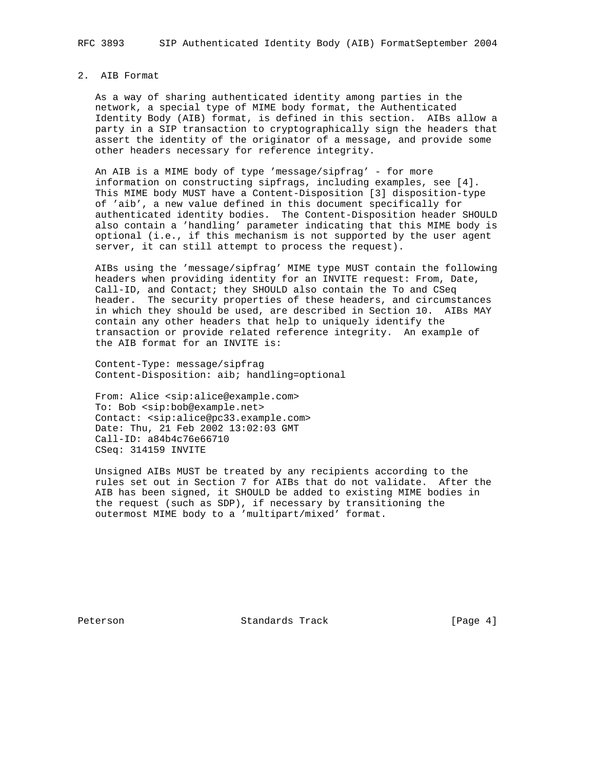# 2. AIB Format

 As a way of sharing authenticated identity among parties in the network, a special type of MIME body format, the Authenticated Identity Body (AIB) format, is defined in this section. AIBs allow a party in a SIP transaction to cryptographically sign the headers that assert the identity of the originator of a message, and provide some other headers necessary for reference integrity.

 An AIB is a MIME body of type 'message/sipfrag' - for more information on constructing sipfrags, including examples, see [4]. This MIME body MUST have a Content-Disposition [3] disposition-type of 'aib', a new value defined in this document specifically for authenticated identity bodies. The Content-Disposition header SHOULD also contain a 'handling' parameter indicating that this MIME body is optional (i.e., if this mechanism is not supported by the user agent server, it can still attempt to process the request).

 AIBs using the 'message/sipfrag' MIME type MUST contain the following headers when providing identity for an INVITE request: From, Date, Call-ID, and Contact; they SHOULD also contain the To and CSeq header. The security properties of these headers, and circumstances in which they should be used, are described in Section 10. AIBs MAY contain any other headers that help to uniquely identify the transaction or provide related reference integrity. An example of the AIB format for an INVITE is:

 Content-Type: message/sipfrag Content-Disposition: aib; handling=optional

 From: Alice <sip:alice@example.com> To: Bob <sip:bob@example.net> Contact: <sip:alice@pc33.example.com> Date: Thu, 21 Feb 2002 13:02:03 GMT Call-ID: a84b4c76e66710 CSeq: 314159 INVITE

 Unsigned AIBs MUST be treated by any recipients according to the rules set out in Section 7 for AIBs that do not validate. After the AIB has been signed, it SHOULD be added to existing MIME bodies in the request (such as SDP), if necessary by transitioning the outermost MIME body to a 'multipart/mixed' format.

Peterson Standards Track [Page 4]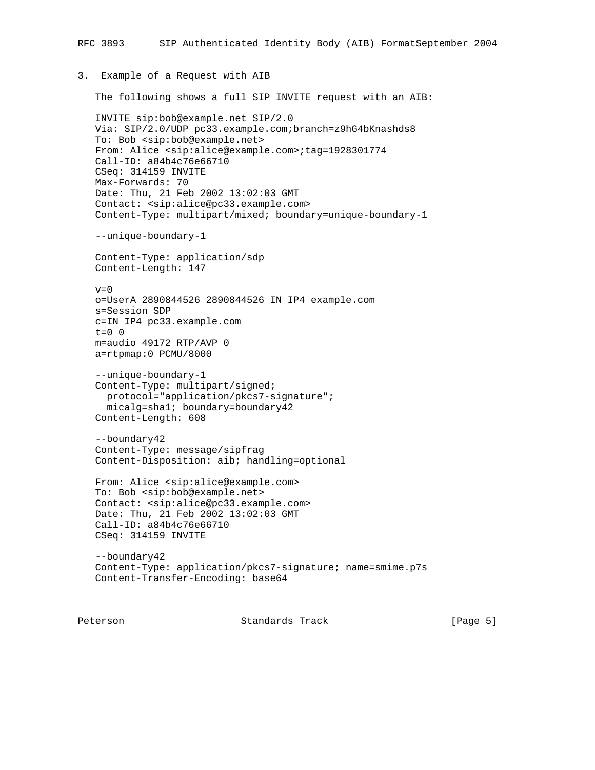```
RFC 3893 SIP Authenticated Identity Body (AIB) FormatSeptember 2004
3. Example of a Request with AIB
    The following shows a full SIP INVITE request with an AIB:
    INVITE sip:bob@example.net SIP/2.0
    Via: SIP/2.0/UDP pc33.example.com;branch=z9hG4bKnashds8
    To: Bob <sip:bob@example.net>
    From: Alice <sip:alice@example.com>;tag=1928301774
    Call-ID: a84b4c76e66710
   CSeq: 314159 INVITE
   Max-Forwards: 70
   Date: Thu, 21 Feb 2002 13:02:03 GMT
    Contact: <sip:alice@pc33.example.com>
    Content-Type: multipart/mixed; boundary=unique-boundary-1
    --unique-boundary-1
    Content-Type: application/sdp
    Content-Length: 147
  v=0 o=UserA 2890844526 2890844526 IN IP4 example.com
    s=Session SDP
   c=IN IP4 pc33.example.com
   t=0 0
   m=audio 49172 RTP/AVP 0
   a=rtpmap:0 PCMU/8000
    --unique-boundary-1
   Content-Type: multipart/signed;
     protocol="application/pkcs7-signature";
     micalg=sha1; boundary=boundary42
    Content-Length: 608
    --boundary42
    Content-Type: message/sipfrag
    Content-Disposition: aib; handling=optional
    From: Alice <sip:alice@example.com>
    To: Bob <sip:bob@example.net>
    Contact: <sip:alice@pc33.example.com>
   Date: Thu, 21 Feb 2002 13:02:03 GMT
   Call-ID: a84b4c76e66710
   CSeq: 314159 INVITE
    --boundary42
   Content-Type: application/pkcs7-signature; name=smime.p7s
   Content-Transfer-Encoding: base64
```
Peterson **Standards Track** [Page 5]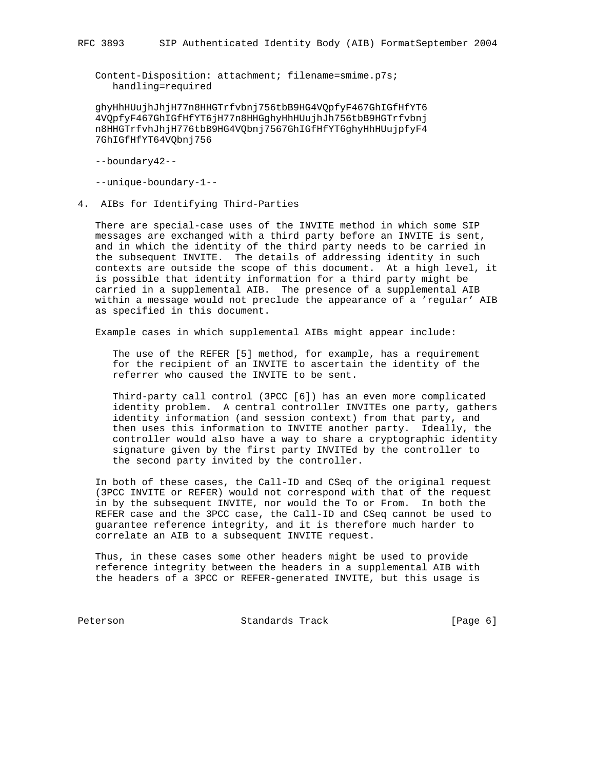Content-Disposition: attachment; filename=smime.p7s; handling=required

 ghyHhHUujhJhjH77n8HHGTrfvbnj756tbB9HG4VQpfyF467GhIGfHfYT6 4VQpfyF467GhIGfHfYT6jH77n8HHGghyHhHUujhJh756tbB9HGTrfvbnj n8HHGTrfvhJhjH776tbB9HG4VQbnj7567GhIGfHfYT6ghyHhHUujpfyF4 7GhIGfHfYT64VQbnj756

--boundary42--

--unique-boundary-1--

4. AIBs for Identifying Third-Parties

 There are special-case uses of the INVITE method in which some SIP messages are exchanged with a third party before an INVITE is sent, and in which the identity of the third party needs to be carried in the subsequent INVITE. The details of addressing identity in such contexts are outside the scope of this document. At a high level, it is possible that identity information for a third party might be carried in a supplemental AIB. The presence of a supplemental AIB within a message would not preclude the appearance of a 'regular' AIB as specified in this document.

Example cases in which supplemental AIBs might appear include:

 The use of the REFER [5] method, for example, has a requirement for the recipient of an INVITE to ascertain the identity of the referrer who caused the INVITE to be sent.

 Third-party call control (3PCC [6]) has an even more complicated identity problem. A central controller INVITEs one party, gathers identity information (and session context) from that party, and then uses this information to INVITE another party. Ideally, the controller would also have a way to share a cryptographic identity signature given by the first party INVITEd by the controller to the second party invited by the controller.

 In both of these cases, the Call-ID and CSeq of the original request (3PCC INVITE or REFER) would not correspond with that of the request in by the subsequent INVITE, nor would the To or From. In both the REFER case and the 3PCC case, the Call-ID and CSeq cannot be used to guarantee reference integrity, and it is therefore much harder to correlate an AIB to a subsequent INVITE request.

 Thus, in these cases some other headers might be used to provide reference integrity between the headers in a supplemental AIB with the headers of a 3PCC or REFER-generated INVITE, but this usage is

Peterson Standards Track [Page 6]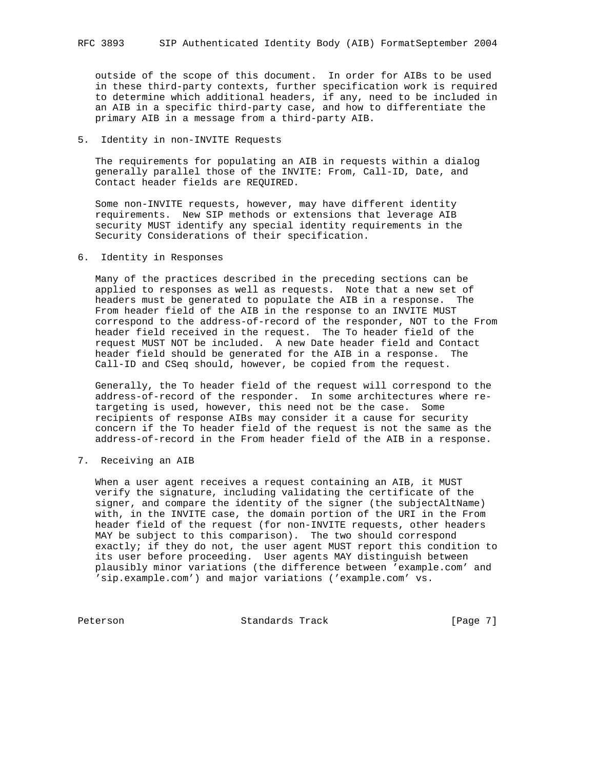outside of the scope of this document. In order for AIBs to be used in these third-party contexts, further specification work is required to determine which additional headers, if any, need to be included in an AIB in a specific third-party case, and how to differentiate the primary AIB in a message from a third-party AIB.

## 5. Identity in non-INVITE Requests

 The requirements for populating an AIB in requests within a dialog generally parallel those of the INVITE: From, Call-ID, Date, and Contact header fields are REQUIRED.

 Some non-INVITE requests, however, may have different identity requirements. New SIP methods or extensions that leverage AIB security MUST identify any special identity requirements in the Security Considerations of their specification.

6. Identity in Responses

 Many of the practices described in the preceding sections can be applied to responses as well as requests. Note that a new set of headers must be generated to populate the AIB in a response. The From header field of the AIB in the response to an INVITE MUST correspond to the address-of-record of the responder, NOT to the From header field received in the request. The To header field of the request MUST NOT be included. A new Date header field and Contact header field should be generated for the AIB in a response. The Call-ID and CSeq should, however, be copied from the request.

 Generally, the To header field of the request will correspond to the address-of-record of the responder. In some architectures where re targeting is used, however, this need not be the case. Some recipients of response AIBs may consider it a cause for security concern if the To header field of the request is not the same as the address-of-record in the From header field of the AIB in a response.

7. Receiving an AIB

 When a user agent receives a request containing an AIB, it MUST verify the signature, including validating the certificate of the signer, and compare the identity of the signer (the subjectAltName) with, in the INVITE case, the domain portion of the URI in the From header field of the request (for non-INVITE requests, other headers MAY be subject to this comparison). The two should correspond exactly; if they do not, the user agent MUST report this condition to its user before proceeding. User agents MAY distinguish between plausibly minor variations (the difference between 'example.com' and 'sip.example.com') and major variations ('example.com' vs.

Peterson Standards Track [Page 7]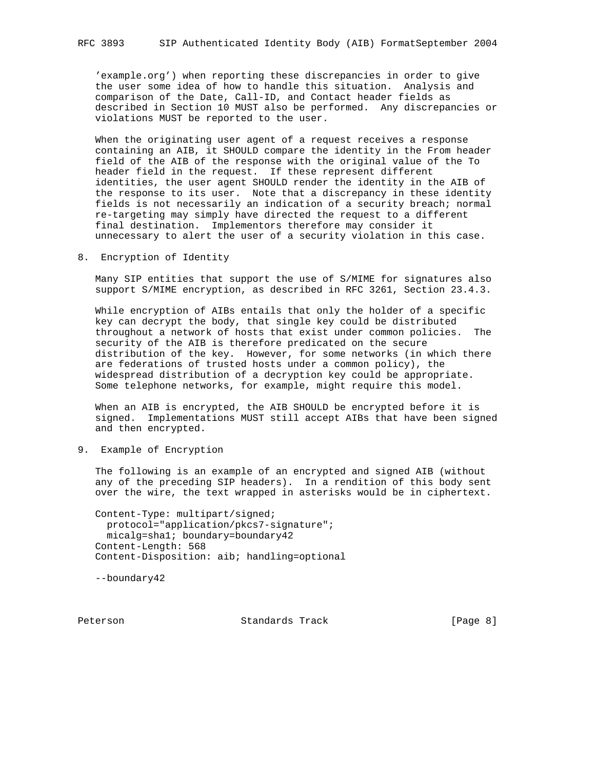'example.org') when reporting these discrepancies in order to give the user some idea of how to handle this situation. Analysis and comparison of the Date, Call-ID, and Contact header fields as described in Section 10 MUST also be performed. Any discrepancies or violations MUST be reported to the user.

 When the originating user agent of a request receives a response containing an AIB, it SHOULD compare the identity in the From header field of the AIB of the response with the original value of the To header field in the request. If these represent different identities, the user agent SHOULD render the identity in the AIB of the response to its user. Note that a discrepancy in these identity fields is not necessarily an indication of a security breach; normal re-targeting may simply have directed the request to a different final destination. Implementors therefore may consider it unnecessary to alert the user of a security violation in this case.

8. Encryption of Identity

 Many SIP entities that support the use of S/MIME for signatures also support S/MIME encryption, as described in RFC 3261, Section 23.4.3.

 While encryption of AIBs entails that only the holder of a specific key can decrypt the body, that single key could be distributed throughout a network of hosts that exist under common policies. The security of the AIB is therefore predicated on the secure distribution of the key. However, for some networks (in which there are federations of trusted hosts under a common policy), the widespread distribution of a decryption key could be appropriate. Some telephone networks, for example, might require this model.

 When an AIB is encrypted, the AIB SHOULD be encrypted before it is signed. Implementations MUST still accept AIBs that have been signed and then encrypted.

9. Example of Encryption

 The following is an example of an encrypted and signed AIB (without any of the preceding SIP headers). In a rendition of this body sent over the wire, the text wrapped in asterisks would be in ciphertext.

 Content-Type: multipart/signed; protocol="application/pkcs7-signature"; micalg=sha1; boundary=boundary42 Content-Length: 568 Content-Disposition: aib; handling=optional

--boundary42

Peterson Standards Track [Page 8]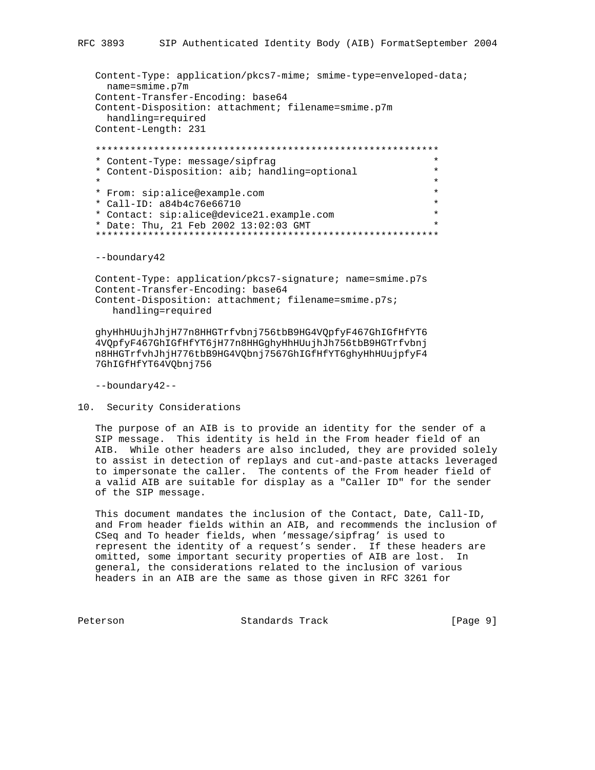```
 Content-Type: application/pkcs7-mime; smime-type=enveloped-data;
  name=smime.p7m
 Content-Transfer-Encoding: base64
 Content-Disposition: attachment; filename=smime.p7m
  handling=required
 Content-Length: 231
```

```
 ***********************************************************
   * Content-Type: message/sipfrag *
   * Content-Disposition: aib; handling=optional *
\star * \star * From: sip:alice@example.com *
   * Call-ID: a84b4c76e66710 *
   * Contact: sip:alice@device21.example.com *
   * Date: Thu, 21 Feb 2002 13:02:03 GMT *
   ***********************************************************
```
--boundary42

 Content-Type: application/pkcs7-signature; name=smime.p7s Content-Transfer-Encoding: base64 Content-Disposition: attachment; filename=smime.p7s; handling=required

 ghyHhHUujhJhjH77n8HHGTrfvbnj756tbB9HG4VQpfyF467GhIGfHfYT6 4VQpfyF467GhIGfHfYT6jH77n8HHGghyHhHUujhJh756tbB9HGTrfvbnj n8HHGTrfvhJhjH776tbB9HG4VQbnj7567GhIGfHfYT6ghyHhHUujpfyF4 7GhIGfHfYT64VQbnj756

--boundary42--

10. Security Considerations

 The purpose of an AIB is to provide an identity for the sender of a SIP message. This identity is held in the From header field of an AIB. While other headers are also included, they are provided solely to assist in detection of replays and cut-and-paste attacks leveraged to impersonate the caller. The contents of the From header field of a valid AIB are suitable for display as a "Caller ID" for the sender of the SIP message.

 This document mandates the inclusion of the Contact, Date, Call-ID, and From header fields within an AIB, and recommends the inclusion of CSeq and To header fields, when 'message/sipfrag' is used to represent the identity of a request's sender. If these headers are omitted, some important security properties of AIB are lost. In general, the considerations related to the inclusion of various headers in an AIB are the same as those given in RFC 3261 for

Peterson **Standards Track** [Page 9]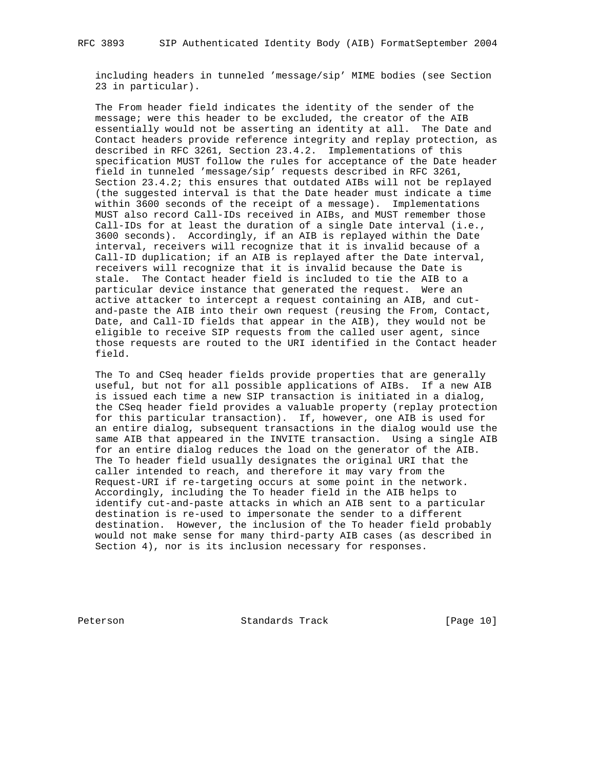including headers in tunneled 'message/sip' MIME bodies (see Section 23 in particular).

 The From header field indicates the identity of the sender of the message; were this header to be excluded, the creator of the AIB essentially would not be asserting an identity at all. The Date and Contact headers provide reference integrity and replay protection, as described in RFC 3261, Section 23.4.2. Implementations of this specification MUST follow the rules for acceptance of the Date header field in tunneled 'message/sip' requests described in RFC 3261, Section 23.4.2; this ensures that outdated AIBs will not be replayed (the suggested interval is that the Date header must indicate a time within 3600 seconds of the receipt of a message). Implementations MUST also record Call-IDs received in AIBs, and MUST remember those Call-IDs for at least the duration of a single Date interval (i.e., 3600 seconds). Accordingly, if an AIB is replayed within the Date interval, receivers will recognize that it is invalid because of a Call-ID duplication; if an AIB is replayed after the Date interval, receivers will recognize that it is invalid because the Date is stale. The Contact header field is included to tie the AIB to a particular device instance that generated the request. Were an active attacker to intercept a request containing an AIB, and cut and-paste the AIB into their own request (reusing the From, Contact, Date, and Call-ID fields that appear in the AIB), they would not be eligible to receive SIP requests from the called user agent, since those requests are routed to the URI identified in the Contact header field.

 The To and CSeq header fields provide properties that are generally useful, but not for all possible applications of AIBs. If a new AIB is issued each time a new SIP transaction is initiated in a dialog, the CSeq header field provides a valuable property (replay protection for this particular transaction). If, however, one AIB is used for an entire dialog, subsequent transactions in the dialog would use the same AIB that appeared in the INVITE transaction. Using a single AIB for an entire dialog reduces the load on the generator of the AIB. The To header field usually designates the original URI that the caller intended to reach, and therefore it may vary from the Request-URI if re-targeting occurs at some point in the network. Accordingly, including the To header field in the AIB helps to identify cut-and-paste attacks in which an AIB sent to a particular destination is re-used to impersonate the sender to a different destination. However, the inclusion of the To header field probably would not make sense for many third-party AIB cases (as described in Section 4), nor is its inclusion necessary for responses.

Peterson Standards Track [Page 10]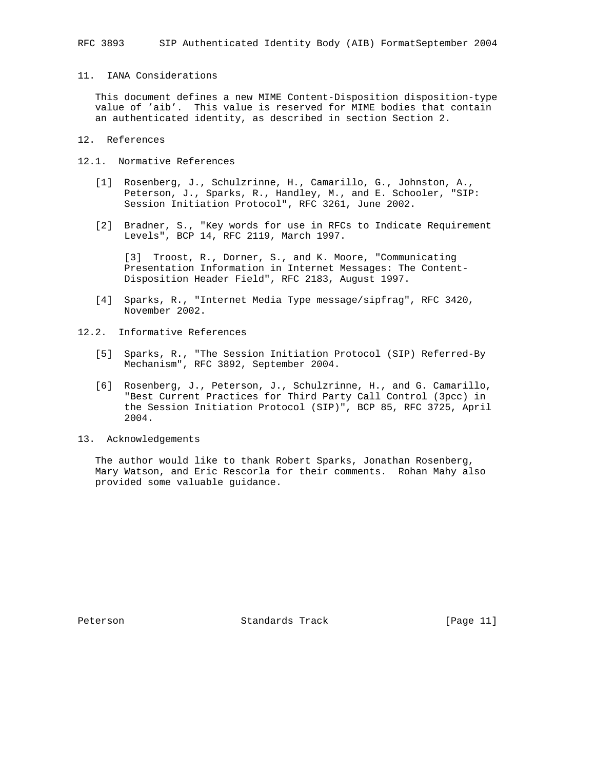# 11. IANA Considerations

 This document defines a new MIME Content-Disposition disposition-type value of 'aib'. This value is reserved for MIME bodies that contain an authenticated identity, as described in section Section 2.

## 12. References

- 12.1. Normative References
	- [1] Rosenberg, J., Schulzrinne, H., Camarillo, G., Johnston, A., Peterson, J., Sparks, R., Handley, M., and E. Schooler, "SIP: Session Initiation Protocol", RFC 3261, June 2002.
	- [2] Bradner, S., "Key words for use in RFCs to Indicate Requirement Levels", BCP 14, RFC 2119, March 1997.

 [3] Troost, R., Dorner, S., and K. Moore, "Communicating Presentation Information in Internet Messages: The Content- Disposition Header Field", RFC 2183, August 1997.

- [4] Sparks, R., "Internet Media Type message/sipfrag", RFC 3420, November 2002.
- 12.2. Informative References
	- [5] Sparks, R., "The Session Initiation Protocol (SIP) Referred-By Mechanism", RFC 3892, September 2004.
	- [6] Rosenberg, J., Peterson, J., Schulzrinne, H., and G. Camarillo, "Best Current Practices for Third Party Call Control (3pcc) in the Session Initiation Protocol (SIP)", BCP 85, RFC 3725, April 2004.
- 13. Acknowledgements

 The author would like to thank Robert Sparks, Jonathan Rosenberg, Mary Watson, and Eric Rescorla for their comments. Rohan Mahy also provided some valuable guidance.

Peterson Standards Track [Page 11]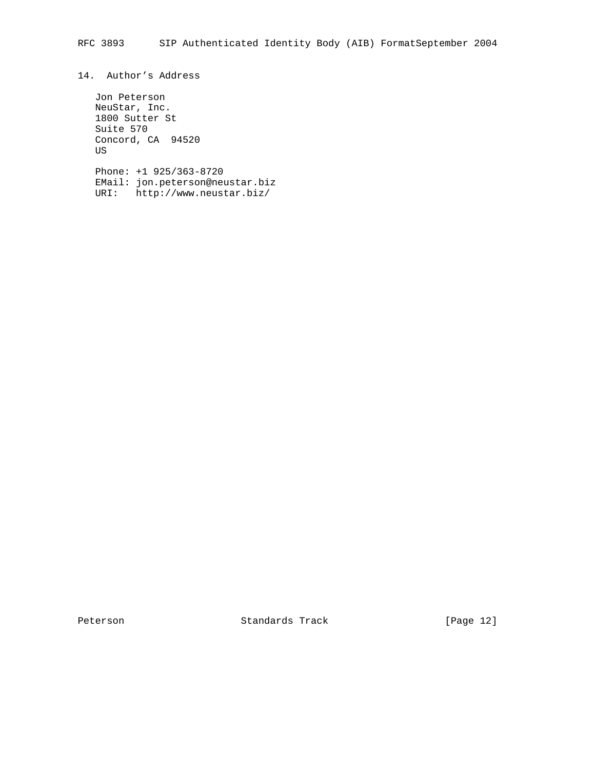# 14. Author's Address

 Jon Peterson NeuStar, Inc. 1800 Sutter St Suite 570 Concord, CA 94520 US Phone: +1 925/363-8720 EMail: jon.peterson@neustar.biz URI: http://www.neustar.biz/

Peterson Standards Track [Page 12]